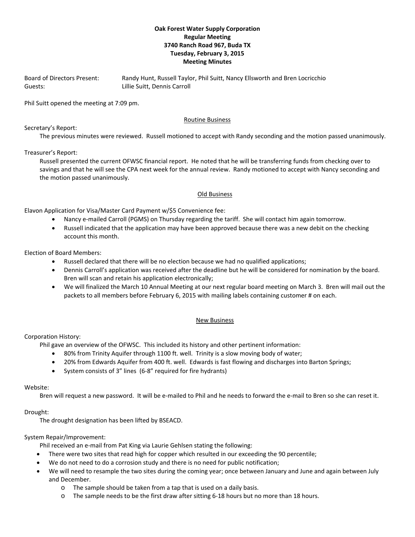# **Oak Forest Water Supply Corporation Regular Meeting 3740 Ranch Road 967, Buda TX Tuesday, February 3, 2015 Meeting Minutes**

Board of Directors Present: Randy Hunt, Russell Taylor, Phil Suitt, Nancy Ellsworth and Bren Locricchio Guests: Carroll Ellie Suitt, Dennis Carroll

Phil Suitt opened the meeting at 7:09 pm.

### Routine Business

Secretary's Report:

The previous minutes were reviewed. Russell motioned to accept with Randy seconding and the motion passed unanimously.

Treasurer's Report:

Russell presented the current OFWSC financial report. He noted that he will be transferring funds from checking over to savings and that he will see the CPA next week for the annual review. Randy motioned to accept with Nancy seconding and the motion passed unanimously.

### Old Business

Elavon Application for Visa/Master Card Payment w/\$5 Convenience fee:

- Nancy e-mailed Carroll (PGMS) on Thursday regarding the tariff. She will contact him again tomorrow.
- Russell indicated that the application may have been approved because there was a new debit on the checking account this month.

Election of Board Members:

- Russell declared that there will be no election because we had no qualified applications;
- Dennis Carroll's application was received after the deadline but he will be considered for nomination by the board. Bren will scan and retain his application electronically;
- We will finalized the March 10 Annual Meeting at our next regular board meeting on March 3. Bren will mail out the packets to all members before February 6, 2015 with mailing labels containing customer # on each.

## New Business

#### Corporation History:

Phil gave an overview of the OFWSC. This included its history and other pertinent information:

- 80% from Trinity Aquifer through 1100 ft. well. Trinity is a slow moving body of water;
- 20% from Edwards Aquifer from 400 ft. well. Edwards is fast flowing and discharges into Barton Springs;
- System consists of 3" lines (6‐8" required for fire hydrants)

#### Website:

Bren will request a new password. It will be e-mailed to Phil and he needs to forward the e-mail to Bren so she can reset it.

## Drought:

The drought designation has been lifted by BSEACD.

## System Repair/Improvement:

Phil received an e‐mail from Pat King via Laurie Gehlsen stating the following:

- There were two sites that read high for copper which resulted in our exceeding the 90 percentile;
- We do not need to do a corrosion study and there is no need for public notification;
- We will need to resample the two sites during the coming year; once between January and June and again between July and December.
	- o The sample should be taken from a tap that is used on a daily basis.
	- o The sample needs to be the first draw after sitting 6‐18 hours but no more than 18 hours.